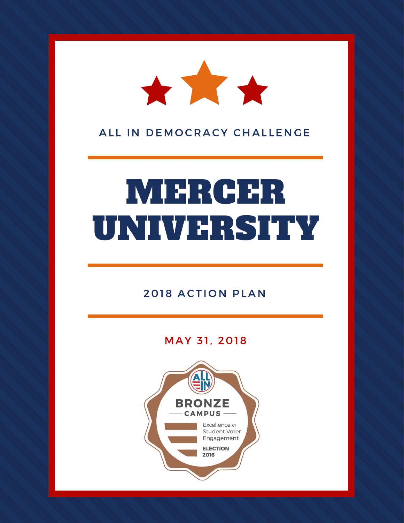

ALL IN DEMOCRACY CHALLENGE

# MERCER UNIVERSITY

# 2018 ACTION PLAN

# MAY 31, 2018

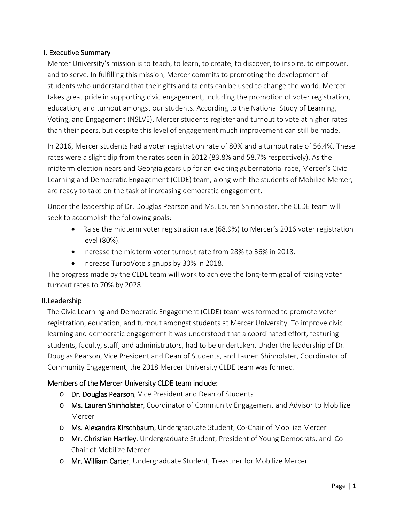# I. Executive Summary

Mercer University's mission is to teach, to learn, to create, to discover, to inspire, to empower, and to serve. In fulfilling this mission, Mercer commits to promoting the development of students who understand that their gifts and talents can be used to change the world. Mercer takes great pride in supporting civic engagement, including the promotion of voter registration, education, and turnout amongst our students. According to the National Study of Learning, Voting, and Engagement (NSLVE), Mercer students register and turnout to vote at higher rates than their peers, but despite this level of engagement much improvement can still be made.

In 2016, Mercer students had a voter registration rate of 80% and a turnout rate of 56.4%. These rates were a slight dip from the rates seen in 2012 (83.8% and 58.7% respectively). As the midterm election nears and Georgia gears up for an exciting gubernatorial race, Mercer's Civic Learning and Democratic Engagement (CLDE) team, along with the students of Mobilize Mercer, are ready to take on the task of increasing democratic engagement.

Under the leadership of Dr. Douglas Pearson and Ms. Lauren Shinholster, the CLDE team will seek to accomplish the following goals:

- Raise the midterm voter registration rate (68.9%) to Mercer's 2016 voter registration level (80%).
- Increase the midterm voter turnout rate from 28% to 36% in 2018.
- Increase TurboVote signups by 30% in 2018.

The progress made by the CLDE team will work to achieve the long-term goal of raising voter turnout rates to 70% by 2028.

# II.Leadership

The Civic Learning and Democratic Engagement (CLDE) team was formed to promote voter registration, education, and turnout amongst students at Mercer University. To improve civic learning and democratic engagement it was understood that a coordinated effort, featuring students, faculty, staff, and administrators, had to be undertaken. Under the leadership of Dr. Douglas Pearson, Vice President and Dean of Students, and Lauren Shinholster, Coordinator of Community Engagement, the 2018 Mercer University CLDE team was formed.

# Members of the Mercer University CLDE team include:

- o Dr. Douglas Pearson, Vice President and Dean of Students
- o Ms. Lauren Shinholster, Coordinator of Community Engagement and Advisor to Mobilize **Mercer**
- o Ms. Alexandra Kirschbaum, Undergraduate Student, Co-Chair of Mobilize Mercer
- o Mr. Christian Hartley, Undergraduate Student, President of Young Democrats, and Co-Chair of Mobilize Mercer
- o Mr. William Carter, Undergraduate Student, Treasurer for Mobilize Mercer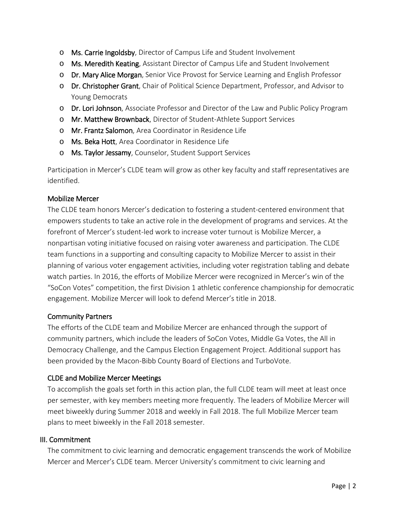- o Ms. Carrie Ingoldsby, Director of Campus Life and Student Involvement
- o Ms. Meredith Keating, Assistant Director of Campus Life and Student Involvement
- o Dr. Mary Alice Morgan, Senior Vice Provost for Service Learning and English Professor
- o Dr. Christopher Grant, Chair of Political Science Department, Professor, and Advisor to Young Democrats
- o Dr. Lori Johnson, Associate Professor and Director of the Law and Public Policy Program
- o Mr. Matthew Brownback, Director of Student-Athlete Support Services
- o Mr. Frantz Salomon, Area Coordinator in Residence Life
- o Ms. Beka Hott, Area Coordinator in Residence Life
- o Ms. Taylor Jessamy, Counselor, Student Support Services

Participation in Mercer's CLDE team will grow as other key faculty and staff representatives are identified.

# Mobilize Mercer

The CLDE team honors Mercer's dedication to fostering a student-centered environment that empowers students to take an active role in the development of programs and services. At the forefront of Mercer's student-led work to increase voter turnout is Mobilize Mercer, a nonpartisan voting initiative focused on raising voter awareness and participation. The CLDE team functions in a supporting and consulting capacity to Mobilize Mercer to assist in their planning of various voter engagement activities, including voter registration tabling and debate watch parties. In 2016, the efforts of Mobilize Mercer were recognized in Mercer's win of the "SoCon Votes" competition, the first Division 1 athletic conference championship for democratic engagement. Mobilize Mercer will look to defend Mercer's title in 2018.

# Community Partners

The efforts of the CLDE team and Mobilize Mercer are enhanced through the support of community partners, which include the leaders of SoCon Votes, Middle Ga Votes, the All in Democracy Challenge, and the Campus Election Engagement Project. Additional support has been provided by the Macon-Bibb County Board of Elections and TurboVote.

# CLDE and Mobilize Mercer Meetings

To accomplish the goals set forth in this action plan, the full CLDE team will meet at least once per semester, with key members meeting more frequently. The leaders of Mobilize Mercer will meet biweekly during Summer 2018 and weekly in Fall 2018. The full Mobilize Mercer team plans to meet biweekly in the Fall 2018 semester.

# III. Commitment

The commitment to civic learning and democratic engagement transcends the work of Mobilize Mercer and Mercer's CLDE team. Mercer University's commitment to civic learning and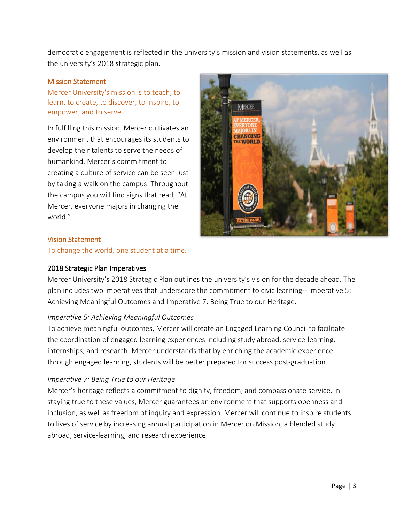democratic engagement is reflected in the university's mission and vision statements, as well as the university's 2018 strategic plan.

#### Mission Statement

Mercer University's mission is to teach, to learn, to create, to discover, to inspire, to empower, and to serve.

In fulfilling this mission, Mercer cultivates an environment that encourages its students to develop their talents to serve the needs of humankind. Mercer's commitment to creating a culture of service can be seen just by taking a walk on the campus. Throughout the campus you will find signs that read, "At Mercer, everyone majors in changing the world."



#### Vision Statement

To change the world, one student at a time.

#### 2018 Strategic Plan Imperatives

Mercer University's 2018 Strategic Plan outlines the university's vision for the decade ahead. The plan includes two imperatives that underscore the commitment to civic learning-- Imperative 5: Achieving Meaningful Outcomes and Imperative 7: Being True to our Heritage.

#### *Imperative 5: Achieving Meaningful Outcomes*

To achieve meaningful outcomes, Mercer will create an Engaged Learning Council to facilitate the coordination of engaged learning experiences including study abroad, service-learning, internships, and research. Mercer understands that by enriching the academic experience through engaged learning, students will be better prepared for success post-graduation.

# *Imperative 7: Being True to our Heritage*

Mercer's heritage reflects a commitment to dignity, freedom, and compassionate service. In staying true to these values, Mercer guarantees an environment that supports openness and inclusion, as well as freedom of inquiry and expression. Mercer will continue to inspire students to lives of service by increasing annual participation in Mercer on Mission, a blended study abroad, service-learning, and research experience.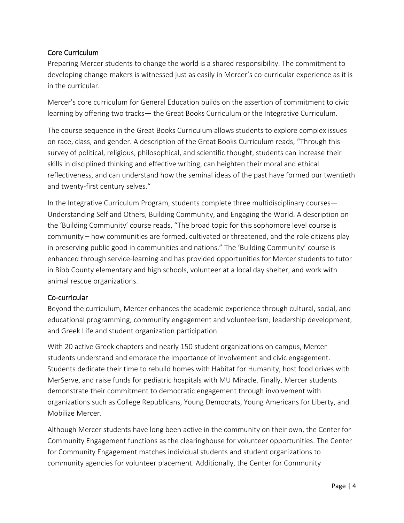# Core Curriculum

Preparing Mercer students to change the world is a shared responsibility. The commitment to developing change-makers is witnessed just as easily in Mercer's co-curricular experience as it is in the curricular.

Mercer's core curriculum for General Education builds on the assertion of commitment to civic learning by offering two tracks— the Great Books Curriculum or the Integrative Curriculum.

The course sequence in the Great Books Curriculum allows students to explore complex issues on race, class, and gender. A description of the Great Books Curriculum reads, "Through this survey of political, religious, philosophical, and scientific thought, students can increase their skills in disciplined thinking and effective writing, can heighten their moral and ethical reflectiveness, and can understand how the seminal ideas of the past have formed our twentieth and twenty-first century selves."

In the Integrative Curriculum Program, students complete three multidisciplinary courses— Understanding Self and Others, Building Community, and Engaging the World. A description on the 'Building Community' course reads, "The broad topic for this sophomore level course is community – how communities are formed, cultivated or threatened, and the role citizens play in preserving public good in communities and nations." The 'Building Community' course is enhanced through service-learning and has provided opportunities for Mercer students to tutor in Bibb County elementary and high schools, volunteer at a local day shelter, and work with animal rescue organizations.

# Co-curricular

Beyond the curriculum, Mercer enhances the academic experience through cultural, social, and educational programming; community engagement and volunteerism; leadership development; and Greek Life and student organization participation.

With 20 active Greek chapters and nearly 150 student organizations on campus, Mercer students understand and embrace the importance of involvement and civic engagement. Students dedicate their time to rebuild homes with Habitat for Humanity, host food drives with MerServe, and raise funds for pediatric hospitals with MU Miracle. Finally, Mercer students demonstrate their commitment to democratic engagement through involvement with organizations such as College Republicans, Young Democrats, Young Americans for Liberty, and Mobilize Mercer.

Although Mercer students have long been active in the community on their own, the Center for Community Engagement functions as the clearinghouse for volunteer opportunities. The Center for Community Engagement matches individual students and student organizations to community agencies for volunteer placement. Additionally, the Center for Community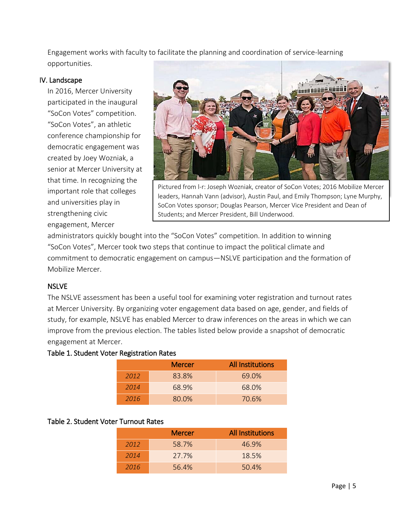Engagement works with faculty to facilitate the planning and coordination of service-learning opportunities.

#### IV. Landscape

In 2016, Mercer University participated in the inaugural "SoCon Votes" competition. "SoCon Votes", an athletic conference championship for democratic engagement was created by Joey Wozniak, a senior at Mercer University at that time. In recognizing the important role that colleges and universities play in strengthening civic engagement, Mercer



Pictured from l-r: Joseph Wozniak, creator of SoCon Votes; 2016 Mobilize Mercer leaders, Hannah Vann (advisor), Austin Paul, and Emily Thompson; Lyne Murphy, SoCon Votes sponsor; Douglas Pearson, Mercer Vice President and Dean of Students; and Mercer President, Bill Underwood.

administrators quickly bought into the "SoCon Votes" competition. In addition to winning "SoCon Votes", Mercer took two steps that continue to impact the political climate and commitment to democratic engagement on campus—NSLVE participation and the formation of Mobilize Mercer.

# **NSLVE**

The NSLVE assessment has been a useful tool for examining voter registration and turnout rates at Mercer University. By organizing voter engagement data based on age, gender, and fields of study, for example, NSLVE has enabled Mercer to draw inferences on the areas in which we can improve from the previous election. The tables listed below provide a snapshot of democratic engagement at Mercer.

# Table 1. Student Voter Registration Rates

|      | <b>Mercer</b> | <b>All Institutions</b> |
|------|---------------|-------------------------|
| 2012 | 83.8%         | 69.0%                   |
| 2014 | 68.9%         | 68.0%                   |
| 2016 | 80.0%         | 70.6%                   |

# Table 2. Student Voter Turnout Rates

|      | <b>Mercer</b> | <b>All Institutions</b> |
|------|---------------|-------------------------|
| 2012 | 58.7%         | 46.9%                   |
| 2014 | 27.7%         | 18.5%                   |
| 2016 | 56.4%         | 50.4%                   |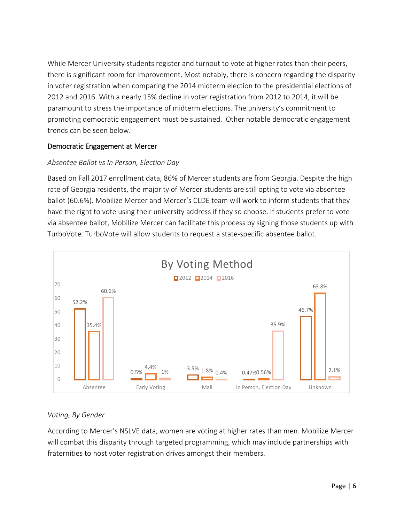While Mercer University students register and turnout to vote at higher rates than their peers, there is significant room for improvement. Most notably, there is concern regarding the disparity in voter registration when comparing the 2014 midterm election to the presidential elections of 2012 and 2016. With a nearly 15% decline in voter registration from 2012 to 2014, it will be paramount to stress the importance of midterm elections. The university's commitment to promoting democratic engagement must be sustained. Other notable democratic engagement trends can be seen below.

# Democratic Engagement at Mercer

# *Absentee Ballot vs In Person, Election Day*

Based on Fall 2017 enrollment data, 86% of Mercer students are from Georgia. Despite the high rate of Georgia residents, the majority of Mercer students are still opting to vote via absentee ballot (60.6%). Mobilize Mercer and Mercer's CLDE team will work to inform students that they have the right to vote using their university address if they so choose. If students prefer to vote via absentee ballot, Mobilize Mercer can facilitate this process by signing those students up with TurboVote. TurboVote will allow students to request a state-specific absentee ballot.



# *Voting, By Gender*

According to Mercer's NSLVE data, women are voting at higher rates than men. Mobilize Mercer will combat this disparity through targeted programming, which may include partnerships with fraternities to host voter registration drives amongst their members.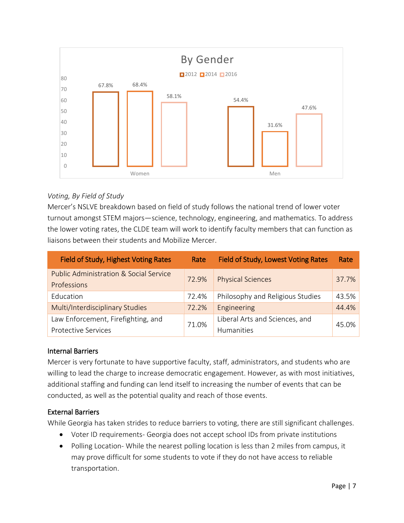

# *Voting, By Field of Study*

Mercer's NSLVE breakdown based on field of study follows the national trend of lower voter turnout amongst STEM majors—science, technology, engineering, and mathematics. To address the lower voting rates, the CLDE team will work to identify faculty members that can function as liaisons between their students and Mobilize Mercer.

| Field of Study, Highest Voting Rates                             | Rate  | Field of Study, Lowest Voting Rates | Rate  |
|------------------------------------------------------------------|-------|-------------------------------------|-------|
| <b>Public Administration &amp; Social Service</b><br>Professions | 72.9% | <b>Physical Sciences</b>            | 37.7% |
| Education                                                        | 72.4% | Philosophy and Religious Studies    | 43.5% |
| Multi/Interdisciplinary Studies                                  | 72.2% | Engineering                         | 44.4% |
| Law Enforcement, Firefighting, and                               | 71.0% | Liberal Arts and Sciences, and      | 45.0% |
| <b>Protective Services</b>                                       |       | <b>Humanities</b>                   |       |

# Internal Barriers

Mercer is very fortunate to have supportive faculty, staff, administrators, and students who are willing to lead the charge to increase democratic engagement. However, as with most initiatives, additional staffing and funding can lend itself to increasing the number of events that can be conducted, as well as the potential quality and reach of those events.

# External Barriers

While Georgia has taken strides to reduce barriers to voting, there are still significant challenges.

- Voter ID requirements- Georgia does not accept school IDs from private institutions
- Polling Location- While the nearest polling location is less than 2 miles from campus, it may prove difficult for some students to vote if they do not have access to reliable transportation.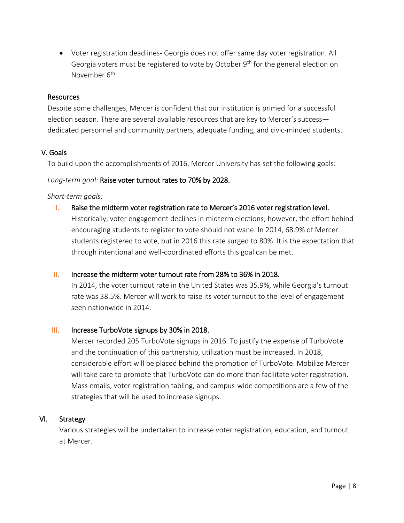• Voter registration deadlines- Georgia does not offer same day voter registration. All Georgia voters must be registered to vote by October 9<sup>th</sup> for the general election on November 6<sup>th</sup>.

#### Resources

Despite some challenges, Mercer is confident that our institution is primed for a successful election season. There are several available resources that are key to Mercer's success dedicated personnel and community partners, adequate funding, and civic-minded students.

#### V. Goals

To build upon the accomplishments of 2016, Mercer University has set the following goals:

#### *Long-term goal:* Raise voter turnout rates to 70% by 2028.

#### *Short-term goals:*

I. Raise the midterm voter registration rate to Mercer's 2016 voter registration level. Historically, voter engagement declines in midterm elections; however, the effort behind encouraging students to register to vote should not wane. In 2014, 68.9% of Mercer students registered to vote, but in 2016 this rate surged to 80%. It is the expectation that through intentional and well-coordinated efforts this goal can be met.

# II. Increase the midterm voter turnout rate from 28% to 36% in 2018.

In 2014, the voter turnout rate in the United States was 35.9%, while Georgia's turnout rate was 38.5%. Mercer will work to raise its voter turnout to the level of engagement seen nationwide in 2014.

#### III. Increase TurboVote signups by 30% in 2018.

Mercer recorded 205 TurboVote signups in 2016. To justify the expense of TurboVote and the continuation of this partnership, utilization must be increased. In 2018, considerable effort will be placed behind the promotion of TurboVote. Mobilize Mercer will take care to promote that TurboVote can do more than facilitate voter registration. Mass emails, voter registration tabling, and campus-wide competitions are a few of the strategies that will be used to increase signups.

# VI. Strategy

Various strategies will be undertaken to increase voter registration, education, and turnout at Mercer.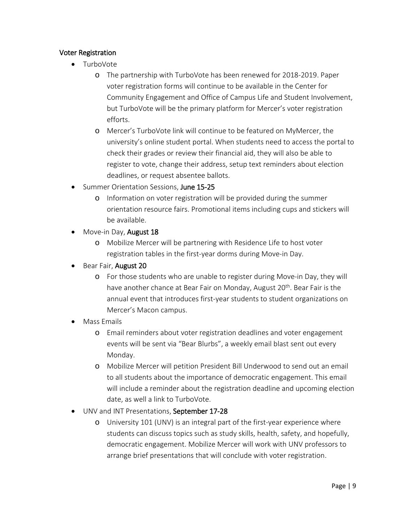# Voter Registration

- TurboVote
	- o The partnership with TurboVote has been renewed for 2018-2019. Paper voter registration forms will continue to be available in the Center for Community Engagement and Office of Campus Life and Student Involvement, but TurboVote will be the primary platform for Mercer's voter registration efforts.
	- o Mercer's TurboVote link will continue to be featured on MyMercer, the university's online student portal. When students need to access the portal to check their grades or review their financial aid, they will also be able to register to vote, change their address, setup text reminders about election deadlines, or request absentee ballots.
- Summer Orientation Sessions, June 15-25
	- o Information on voter registration will be provided during the summer orientation resource fairs. Promotional items including cups and stickers will be available.
- Move-in Day, August 18
	- o Mobilize Mercer will be partnering with Residence Life to host voter registration tables in the first-year dorms during Move-in Day.
- Bear Fair, August 20
	- o For those students who are unable to register during Move-in Day, they will have another chance at Bear Fair on Monday, August 20<sup>th</sup>. Bear Fair is the annual event that introduces first-year students to student organizations on Mercer's Macon campus.
- Mass Emails
	- o Email reminders about voter registration deadlines and voter engagement events will be sent via "Bear Blurbs", a weekly email blast sent out every Monday.
	- o Mobilize Mercer will petition President Bill Underwood to send out an email to all students about the importance of democratic engagement. This email will include a reminder about the registration deadline and upcoming election date, as well a link to TurboVote.
- UNV and INT Presentations, September 17-28
	- o University 101 (UNV) is an integral part of the first-year experience where students can discuss topics such as study skills, health, safety, and hopefully, democratic engagement. Mobilize Mercer will work with UNV professors to arrange brief presentations that will conclude with voter registration.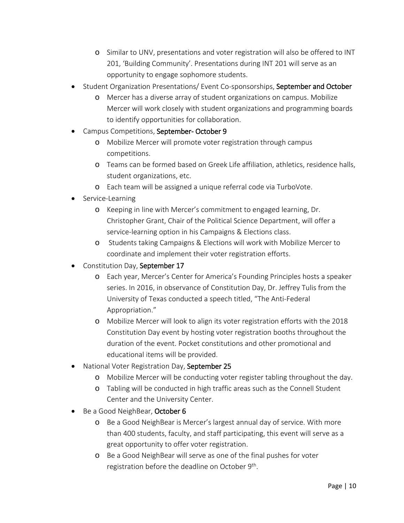- o Similar to UNV, presentations and voter registration will also be offered to INT 201, 'Building Community'. Presentations during INT 201 will serve as an opportunity to engage sophomore students.
- Student Organization Presentations/Event Co-sponsorships, September and October
	- o Mercer has a diverse array of student organizations on campus. Mobilize Mercer will work closely with student organizations and programming boards to identify opportunities for collaboration.
- Campus Competitions, September-October 9
	- o Mobilize Mercer will promote voter registration through campus competitions.
	- o Teams can be formed based on Greek Life affiliation, athletics, residence halls, student organizations, etc.
	- o Each team will be assigned a unique referral code via TurboVote.
- Service-Learning
	- o Keeping in line with Mercer's commitment to engaged learning, Dr. Christopher Grant, Chair of the Political Science Department, will offer a service-learning option in his Campaigns & Elections class.
	- o Students taking Campaigns & Elections will work with Mobilize Mercer to coordinate and implement their voter registration efforts.
- Constitution Day, September 17
	- o Each year, Mercer's Center for America's Founding Principles hosts a speaker series. In 2016, in observance of Constitution Day, Dr. Jeffrey Tulis from the University of Texas conducted a speech titled, "The Anti-Federal Appropriation."
	- o Mobilize Mercer will look to align its voter registration efforts with the 2018 Constitution Day event by hosting voter registration booths throughout the duration of the event. Pocket constitutions and other promotional and educational items will be provided.
- **National Voter Registration Day, September 25** 
	- o Mobilize Mercer will be conducting voter register tabling throughout the day.
	- o Tabling will be conducted in high traffic areas such as the Connell Student Center and the University Center.
- Be a Good NeighBear, October 6
	- o Be a Good NeighBear is Mercer's largest annual day of service. With more than 400 students, faculty, and staff participating, this event will serve as a great opportunity to offer voter registration.
	- o Be a Good NeighBear will serve as one of the final pushes for voter registration before the deadline on October 9<sup>th</sup>.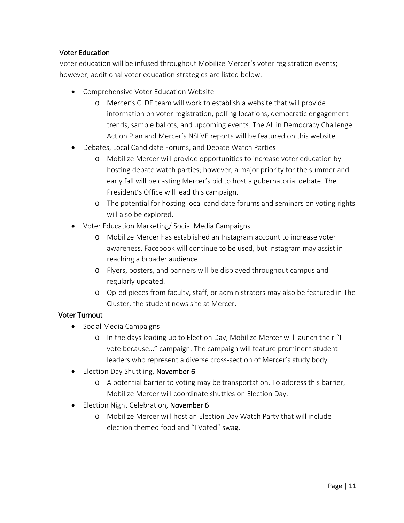# Voter Education

Voter education will be infused throughout Mobilize Mercer's voter registration events; however, additional voter education strategies are listed below.

- Comprehensive Voter Education Website
	- o Mercer's CLDE team will work to establish a website that will provide information on voter registration, polling locations, democratic engagement trends, sample ballots, and upcoming events. The All in Democracy Challenge Action Plan and Mercer's NSLVE reports will be featured on this website.
- Debates, Local Candidate Forums, and Debate Watch Parties
	- o Mobilize Mercer will provide opportunities to increase voter education by hosting debate watch parties; however, a major priority for the summer and early fall will be casting Mercer's bid to host a gubernatorial debate. The President's Office will lead this campaign.
	- o The potential for hosting local candidate forums and seminars on voting rights will also be explored.
- Voter Education Marketing/ Social Media Campaigns
	- o Mobilize Mercer has established an Instagram account to increase voter awareness. Facebook will continue to be used, but Instagram may assist in reaching a broader audience.
	- o Flyers, posters, and banners will be displayed throughout campus and regularly updated.
	- o Op-ed pieces from faculty, staff, or administrators may also be featured in The Cluster, the student news site at Mercer.

# Voter Turnout

- Social Media Campaigns
	- o In the days leading up to Election Day, Mobilize Mercer will launch their "I vote because…" campaign. The campaign will feature prominent student leaders who represent a diverse cross-section of Mercer's study body.
- Election Day Shuttling, November 6
	- o A potential barrier to voting may be transportation. To address this barrier, Mobilize Mercer will coordinate shuttles on Election Day.
- Election Night Celebration, November 6
	- o Mobilize Mercer will host an Election Day Watch Party that will include election themed food and "I Voted" swag.